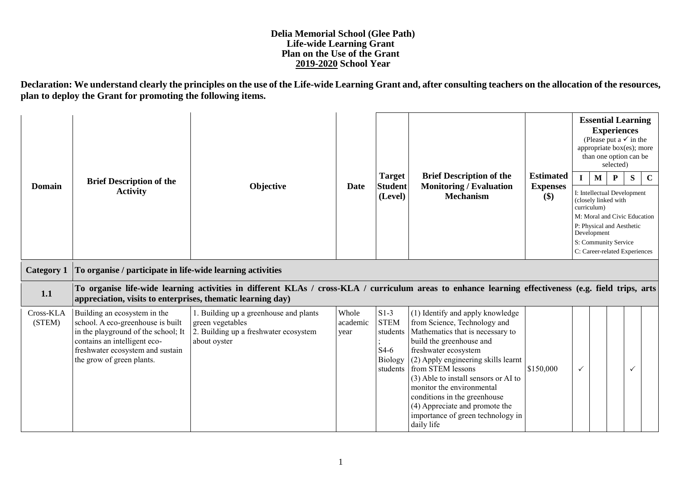## **Delia Memorial School (Glee Path) Life-wide Learning Grant Plan on the Use of the Grant 2019-2020 School Year**

**Declaration: We understand clearly the principles on the use of the Life-wide Learning Grant and, after consulting teachers on the allocation of the resources, plan to deploy the Grant for promoting the following items.**

| <b>Domain</b>       | <b>Brief Description of the</b><br><b>Activity</b>                                                                                                                                                                  | Objective                                                                                                           | <b>Date</b>               | <b>Target</b><br><b>Student</b><br>(Level)                         | <b>Brief Description of the</b><br><b>Monitoring / Evaluation</b><br><b>Mechanism</b>                                                                                                                                                                                                                                                                                                                          | <b>Estimated</b><br><b>Expenses</b><br>$($)$ |              | <b>Essential Learning</b><br><b>Experiences</b><br>(Please put a $\checkmark$ in the<br>appropriate box(es); more<br>than one option can be<br>selected)<br>$\mathbf{P}$<br>S<br>M<br>$\mathbf C$<br>I: Intellectual Development<br>(closely linked with<br>curriculum)<br>M: Moral and Civic Education<br>P: Physical and Aesthetic<br>Development<br>S: Community Service<br>C: Career-related Experiences |   |  |  |
|---------------------|---------------------------------------------------------------------------------------------------------------------------------------------------------------------------------------------------------------------|---------------------------------------------------------------------------------------------------------------------|---------------------------|--------------------------------------------------------------------|----------------------------------------------------------------------------------------------------------------------------------------------------------------------------------------------------------------------------------------------------------------------------------------------------------------------------------------------------------------------------------------------------------------|----------------------------------------------|--------------|--------------------------------------------------------------------------------------------------------------------------------------------------------------------------------------------------------------------------------------------------------------------------------------------------------------------------------------------------------------------------------------------------------------|---|--|--|
| Category 1          | To organise / participate in life-wide learning activities                                                                                                                                                          |                                                                                                                     |                           |                                                                    |                                                                                                                                                                                                                                                                                                                                                                                                                |                                              |              |                                                                                                                                                                                                                                                                                                                                                                                                              |   |  |  |
| 1.1                 | To organise life-wide learning activities in different KLAs / cross-KLA / curriculum areas to enhance learning effectiveness (e.g. field trips, arts<br>appreciation, visits to enterprises, thematic learning day) |                                                                                                                     |                           |                                                                    |                                                                                                                                                                                                                                                                                                                                                                                                                |                                              |              |                                                                                                                                                                                                                                                                                                                                                                                                              |   |  |  |
| Cross-KLA<br>(STEM) | Building an ecosystem in the<br>school. A eco-greenhouse is built<br>in the playground of the school; It<br>contains an intelligent eco-<br>freshwater ecosystem and sustain<br>the grow of green plants.           | 1. Building up a greenhouse and plants<br>green vegetables<br>2. Building up a freshwater ecosystem<br>about oyster | Whole<br>academic<br>year | $S1-3$<br><b>STEM</b><br>students<br>$S4-6$<br>Biology<br>students | (1) Identify and apply knowledge<br>from Science, Technology and<br>Mathematics that is necessary to<br>build the greenhouse and<br>freshwater ecosystem<br>(2) Apply engineering skills learnt<br>from STEM lessons<br>(3) Able to install sensors or AI to<br>monitor the environmental<br>conditions in the greenhouse<br>(4) Appreciate and promote the<br>importance of green technology in<br>daily life | \$150,000                                    | $\checkmark$ |                                                                                                                                                                                                                                                                                                                                                                                                              | ✓ |  |  |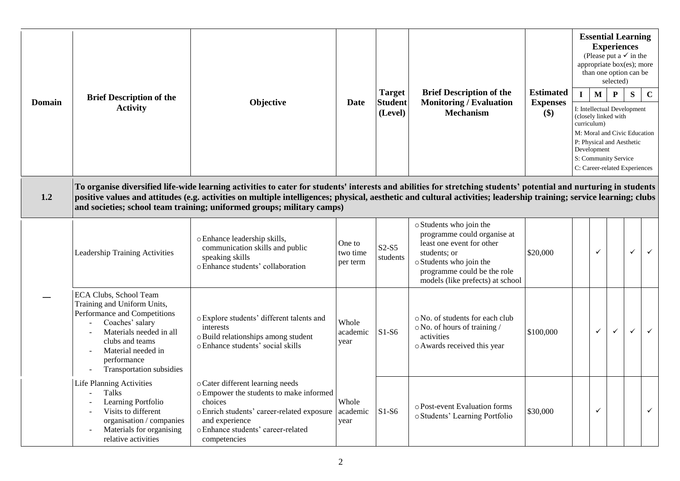| <b>Domain</b> | <b>Brief Description of the</b><br><b>Activity</b>                                                                                                                                                                                                                                                                                                                                                                 | Objective                                                                                                                                                                                                             | <b>Date</b>                    | <b>Target</b><br><b>Student</b><br>(Level) | <b>Brief Description of the</b><br>Monitoring / Evaluation<br><b>Mechanism</b>                                                                                                                    | <b>Estimated</b><br><b>Expenses</b><br>$(\$)$ | $\mathbf I$ | <b>Essential Learning</b><br><b>Experiences</b><br>(Please put a $\checkmark$ in the<br>appropriate box(es); more<br>than one option can be<br>$\mathbf{M}$<br>I: Intellectual Development<br>(closely linked with<br>curriculum)<br>M: Moral and Civic Education<br>P: Physical and Aesthetic<br>Development<br>S: Community Service<br>C: Career-related Experiences | selected)<br>${\bf P}$ | S            | $\mathbf{C}$ |
|---------------|--------------------------------------------------------------------------------------------------------------------------------------------------------------------------------------------------------------------------------------------------------------------------------------------------------------------------------------------------------------------------------------------------------------------|-----------------------------------------------------------------------------------------------------------------------------------------------------------------------------------------------------------------------|--------------------------------|--------------------------------------------|---------------------------------------------------------------------------------------------------------------------------------------------------------------------------------------------------|-----------------------------------------------|-------------|------------------------------------------------------------------------------------------------------------------------------------------------------------------------------------------------------------------------------------------------------------------------------------------------------------------------------------------------------------------------|------------------------|--------------|--------------|
| 1.2           | To organise diversified life-wide learning activities to cater for students' interests and abilities for stretching students' potential and nurturing in students<br>positive values and attitudes (e.g. activities on multiple intelligences; physical, aesthetic and cultural activities; leadership training; service learning; clubs<br>and societies; school team training; uniformed groups; military camps) |                                                                                                                                                                                                                       |                                |                                            |                                                                                                                                                                                                   |                                               |             |                                                                                                                                                                                                                                                                                                                                                                        |                        |              |              |
|               | Leadership Training Activities                                                                                                                                                                                                                                                                                                                                                                                     | o Enhance leadership skills,<br>communication skills and public<br>speaking skills<br>o Enhance students' collaboration                                                                                               | One to<br>two time<br>per term | $S2-S5$<br>students                        | o Students who join the<br>programme could organise at<br>least one event for other<br>students; or<br>o Students who join the<br>programme could be the role<br>models (like prefects) at school | \$20,000                                      |             | $\checkmark$                                                                                                                                                                                                                                                                                                                                                           |                        | $\checkmark$ | $\checkmark$ |
|               | ECA Clubs, School Team<br>Training and Uniform Units,<br>Performance and Competitions<br>Coaches' salary<br>Materials needed in all<br>$\sim$<br>clubs and teams<br>Material needed in<br>performance<br>Transportation subsidies                                                                                                                                                                                  | o Explore students' different talents and<br>interests<br>o Build relationships among student<br>o Enhance students' social skills                                                                                    | Whole<br>academic<br>year      | $S1-S6$                                    | o No. of students for each club<br>o No. of hours of training /<br>activities<br>o Awards received this year                                                                                      | \$100,000                                     |             | $\checkmark$                                                                                                                                                                                                                                                                                                                                                           | $\checkmark$           | $\checkmark$ | $\checkmark$ |
|               | Life Planning Activities<br>Talks<br>$\overline{\phantom{a}}$<br>Learning Portfolio<br>Visits to different<br>organisation / companies<br>Materials for organising<br>relative activities                                                                                                                                                                                                                          | o Cater different learning needs<br>o Empower the students to make informed<br>choices<br>o Enrich students' career-related exposure academic<br>and experience<br>o Enhance students' career-related<br>competencies | Whole<br>year                  | $S1-S6$                                    | o Post-event Evaluation forms<br>o Students' Learning Portfolio                                                                                                                                   | \$30,000                                      |             | ✓                                                                                                                                                                                                                                                                                                                                                                      |                        |              | $\checkmark$ |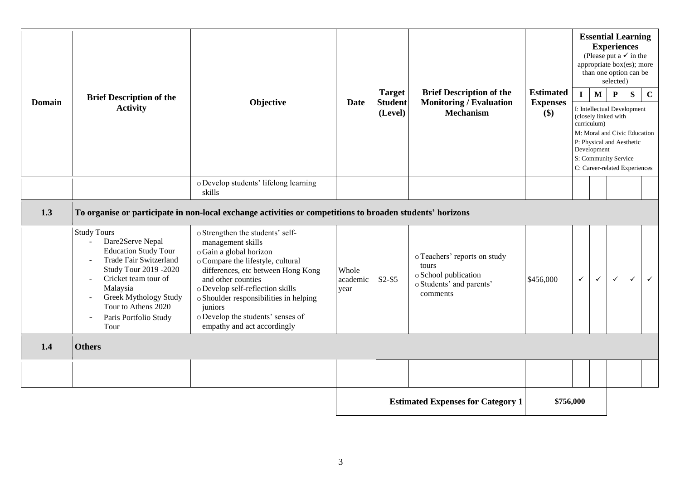| <b>Domain</b> | <b>Brief Description of the</b><br><b>Activity</b>                                                                                                                                                                                                                                                                          | Objective                                                                                                                                                                                                                                                                                                                                      | Date                      | <b>Target</b><br><b>Student</b><br>(Level) | <b>Brief Description of the</b><br><b>Monitoring / Evaluation</b><br><b>Mechanism</b>                 | <b>Estimated</b><br><b>Expenses</b><br>\$) | $\mathbf I$  | <b>Essential Learning</b><br><b>Experiences</b><br>(Please put a $\checkmark$ in the<br>appropriate box(es); more<br>than one option can be<br>selected)<br>$\mathbf C$<br>$\mathbf{M}$<br>$\mathbf{P}$<br>${\bf S}$<br>I: Intellectual Development<br>(closely linked with<br>curriculum)<br>M: Moral and Civic Education<br>P: Physical and Aesthetic<br>Development<br>S: Community Service<br>C: Career-related Experiences |              |              |              |
|---------------|-----------------------------------------------------------------------------------------------------------------------------------------------------------------------------------------------------------------------------------------------------------------------------------------------------------------------------|------------------------------------------------------------------------------------------------------------------------------------------------------------------------------------------------------------------------------------------------------------------------------------------------------------------------------------------------|---------------------------|--------------------------------------------|-------------------------------------------------------------------------------------------------------|--------------------------------------------|--------------|---------------------------------------------------------------------------------------------------------------------------------------------------------------------------------------------------------------------------------------------------------------------------------------------------------------------------------------------------------------------------------------------------------------------------------|--------------|--------------|--------------|
|               |                                                                                                                                                                                                                                                                                                                             | o Develop students' lifelong learning<br>skills                                                                                                                                                                                                                                                                                                |                           |                                            |                                                                                                       |                                            |              |                                                                                                                                                                                                                                                                                                                                                                                                                                 |              |              |              |
| 1.3           | To organise or participate in non-local exchange activities or competitions to broaden students' horizons                                                                                                                                                                                                                   |                                                                                                                                                                                                                                                                                                                                                |                           |                                            |                                                                                                       |                                            |              |                                                                                                                                                                                                                                                                                                                                                                                                                                 |              |              |              |
|               | <b>Study Tours</b><br>Dare2Serve Nepal<br>$\overline{a}$<br><b>Education Study Tour</b><br><b>Trade Fair Switzerland</b><br>Study Tour 2019 -2020<br>Cricket team tour of<br>$\blacksquare$<br>Malaysia<br><b>Greek Mythology Study</b><br>Tour to Athens 2020<br>Paris Portfolio Study<br>$\overline{\phantom{a}}$<br>Tour | o Strengthen the students' self-<br>management skills<br>o Gain a global horizon<br>o Compare the lifestyle, cultural<br>differences, etc between Hong Kong<br>and other counties<br>o Develop self-reflection skills<br>o Shoulder responsibilities in helping<br>juniors<br>o Develop the students' senses of<br>empathy and act accordingly | Whole<br>academic<br>year | $S2-S5$                                    | o Teachers' reports on study<br>tours<br>o School publication<br>o Students' and parents'<br>comments | \$456,000                                  | $\checkmark$ | $\checkmark$                                                                                                                                                                                                                                                                                                                                                                                                                    | $\checkmark$ | $\checkmark$ | $\checkmark$ |
| 1.4           | <b>Others</b>                                                                                                                                                                                                                                                                                                               |                                                                                                                                                                                                                                                                                                                                                |                           |                                            |                                                                                                       |                                            |              |                                                                                                                                                                                                                                                                                                                                                                                                                                 |              |              |              |
|               |                                                                                                                                                                                                                                                                                                                             |                                                                                                                                                                                                                                                                                                                                                |                           |                                            |                                                                                                       |                                            |              |                                                                                                                                                                                                                                                                                                                                                                                                                                 |              |              |              |
|               |                                                                                                                                                                                                                                                                                                                             |                                                                                                                                                                                                                                                                                                                                                |                           |                                            | <b>Estimated Expenses for Category 1</b>                                                              | \$756,000                                  |              |                                                                                                                                                                                                                                                                                                                                                                                                                                 |              |              |              |